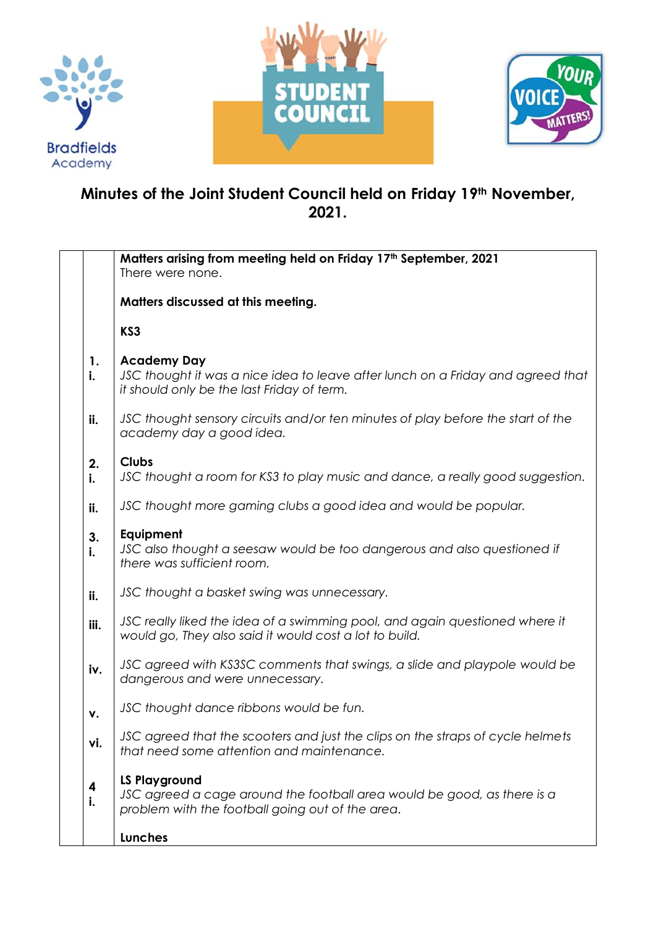





## **Minutes of the Joint Student Council held on Friday 19th November, 2021.**

|                                                                                                                                               | Matters arising from meeting held on Friday 17th September, 2021                                                                                    |  |  |  |  |  |
|-----------------------------------------------------------------------------------------------------------------------------------------------|-----------------------------------------------------------------------------------------------------------------------------------------------------|--|--|--|--|--|
|                                                                                                                                               | There were none.                                                                                                                                    |  |  |  |  |  |
|                                                                                                                                               | Matters discussed at this meeting.                                                                                                                  |  |  |  |  |  |
|                                                                                                                                               | KS3                                                                                                                                                 |  |  |  |  |  |
| 1.<br>i.                                                                                                                                      | <b>Academy Day</b><br>JSC thought it was a nice idea to leave after lunch on a Friday and agreed that<br>it should only be the last Friday of term. |  |  |  |  |  |
| JSC thought sensory circuits and/or ten minutes of play before the start of the<br>ii.<br>academy day a good idea.                            |                                                                                                                                                     |  |  |  |  |  |
| <b>Clubs</b><br>2.<br>JSC thought a room for KS3 to play music and dance, a really good suggestion.<br>i.                                     |                                                                                                                                                     |  |  |  |  |  |
| JSC thought more gaming clubs a good idea and would be popular.<br>ii.                                                                        |                                                                                                                                                     |  |  |  |  |  |
| Equipment<br>3.<br>JSC also thought a seesaw would be too dangerous and also questioned if<br>i.<br>there was sufficient room.                |                                                                                                                                                     |  |  |  |  |  |
| ii.                                                                                                                                           | JSC thought a basket swing was unnecessary.                                                                                                         |  |  |  |  |  |
| JSC really liked the idea of a swimming pool, and again questioned where it<br>iii.<br>would go, They also said it would cost a lot to build. |                                                                                                                                                     |  |  |  |  |  |
| JSC agreed with KS3SC comments that swings, a slide and playpole would be<br>iv.<br>dangerous and were unnecessary.                           |                                                                                                                                                     |  |  |  |  |  |
| v.                                                                                                                                            | JSC thought dance ribbons would be fun.                                                                                                             |  |  |  |  |  |
| vi.                                                                                                                                           | JSC agreed that the scooters and just the clips on the straps of cycle helmets<br>that need some attention and maintenance.                         |  |  |  |  |  |
| 4<br>i.                                                                                                                                       | <b>LS Playground</b><br>JSC agreed a cage around the football area would be good, as there is a<br>problem with the football going out of the area. |  |  |  |  |  |
|                                                                                                                                               | <b>Lunches</b>                                                                                                                                      |  |  |  |  |  |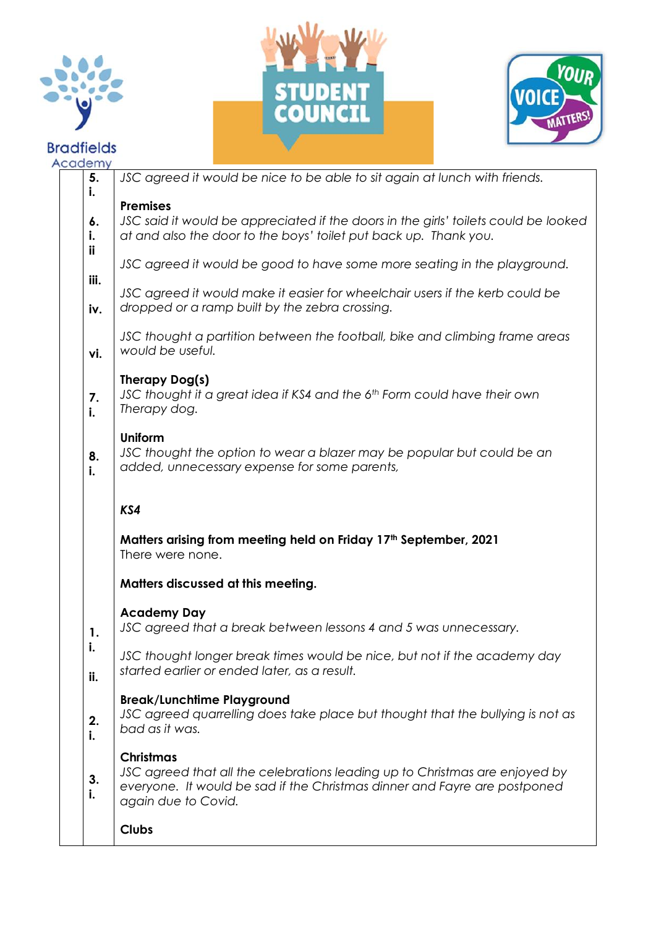

## **Bradfields**  $\overline{A}$  $\mathbf{A}$





|  | <b>Caaemy</b><br>5.                                                                              | JSC agreed it would be nice to be able to sit again at lunch with friends.                                                               |  |  |  |  |  |  |
|--|--------------------------------------------------------------------------------------------------|------------------------------------------------------------------------------------------------------------------------------------------|--|--|--|--|--|--|
|  | i.                                                                                               |                                                                                                                                          |  |  |  |  |  |  |
|  |                                                                                                  | <b>Premises</b>                                                                                                                          |  |  |  |  |  |  |
|  | 6.                                                                                               | JSC said it would be appreciated if the doors in the girls' toilets could be looked                                                      |  |  |  |  |  |  |
|  | İ.                                                                                               | at and also the door to the boys' toilet put back up. Thank you.                                                                         |  |  |  |  |  |  |
|  | ii                                                                                               | JSC agreed it would be good to have some more seating in the playground.                                                                 |  |  |  |  |  |  |
|  | iii.                                                                                             | JSC agreed it would make it easier for wheelchair users if the kerb could be                                                             |  |  |  |  |  |  |
|  | iv.                                                                                              | dropped or a ramp built by the zebra crossing.                                                                                           |  |  |  |  |  |  |
|  | vi.                                                                                              | JSC thought a partition between the football, bike and climbing frame areas<br>would be useful.                                          |  |  |  |  |  |  |
|  |                                                                                                  | Therapy Dog(s)                                                                                                                           |  |  |  |  |  |  |
|  | 7.<br>i.                                                                                         | JSC thought it a great idea if KS4 and the 6th Form could have their own<br>Therapy dog.                                                 |  |  |  |  |  |  |
|  |                                                                                                  |                                                                                                                                          |  |  |  |  |  |  |
|  | 8.<br>i.                                                                                         | <b>Uniform</b><br>JSC thought the option to wear a blazer may be popular but could be an<br>added, unnecessary expense for some parents, |  |  |  |  |  |  |
|  |                                                                                                  | KS4                                                                                                                                      |  |  |  |  |  |  |
|  |                                                                                                  |                                                                                                                                          |  |  |  |  |  |  |
|  | Matters arising from meeting held on Friday 17 <sup>th</sup> September, 2021<br>There were none. |                                                                                                                                          |  |  |  |  |  |  |
|  |                                                                                                  | Matters discussed at this meeting.                                                                                                       |  |  |  |  |  |  |
|  |                                                                                                  | <b>Academy Day</b>                                                                                                                       |  |  |  |  |  |  |
|  | 1.                                                                                               | JSC agreed that a break between lessons 4 and 5 was unnecessary.                                                                         |  |  |  |  |  |  |
|  | i.                                                                                               |                                                                                                                                          |  |  |  |  |  |  |
|  | ii.                                                                                              | JSC thought longer break times would be nice, but not if the academy day<br>started earlier or ended later, as a result.                 |  |  |  |  |  |  |
|  |                                                                                                  | <b>Break/Lunchtime Playground</b>                                                                                                        |  |  |  |  |  |  |
|  |                                                                                                  | JSC agreed quarrelling does take place but thought that the bullying is not as                                                           |  |  |  |  |  |  |
|  | 2.<br>i.                                                                                         | bad as it was.                                                                                                                           |  |  |  |  |  |  |
|  |                                                                                                  |                                                                                                                                          |  |  |  |  |  |  |
|  | 3.<br>i.                                                                                         | <b>Christmas</b><br>JSC agreed that all the celebrations leading up to Christmas are enjoyed by                                          |  |  |  |  |  |  |
|  |                                                                                                  | everyone. It would be sad if the Christmas dinner and Fayre are postponed<br>again due to Covid.                                         |  |  |  |  |  |  |
|  |                                                                                                  | <b>Clubs</b>                                                                                                                             |  |  |  |  |  |  |
|  |                                                                                                  |                                                                                                                                          |  |  |  |  |  |  |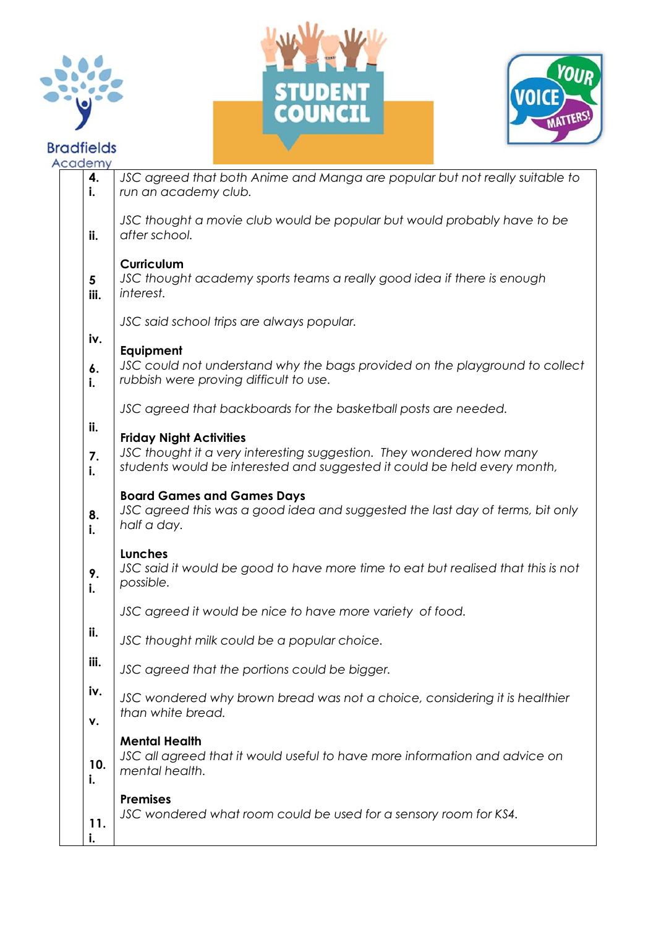







| cademy                                    |                                                                                                                                                                                    |  |  |  |  |  |
|-------------------------------------------|------------------------------------------------------------------------------------------------------------------------------------------------------------------------------------|--|--|--|--|--|
| 4.<br>i.                                  | JSC agreed that both Anime and Manga are popular but not really suitable to<br>run an academy club.                                                                                |  |  |  |  |  |
| ii.                                       | JSC thought a movie club would be popular but would probably have to be<br>after school.                                                                                           |  |  |  |  |  |
| 5<br>iii.                                 | Curriculum<br>JSC thought academy sports teams a really good idea if there is enough<br>interest.                                                                                  |  |  |  |  |  |
| JSC said school trips are always popular. |                                                                                                                                                                                    |  |  |  |  |  |
| iv.<br>6.<br>i.                           | Equipment<br>JSC could not understand why the bags provided on the playground to collect<br>rubbish were proving difficult to use.                                                 |  |  |  |  |  |
|                                           | JSC agreed that backboards for the basketball posts are needed.                                                                                                                    |  |  |  |  |  |
| ii.<br>7.<br>i.                           | <b>Friday Night Activities</b><br>JSC thought it a very interesting suggestion. They wondered how many<br>students would be interested and suggested it could be held every month, |  |  |  |  |  |
| 8.<br>i.                                  | <b>Board Games and Games Days</b><br>JSC agreed this was a good idea and suggested the last day of terms, bit only<br>half a day.                                                  |  |  |  |  |  |
| 9.<br>i.                                  | <b>Lunches</b><br>JSC said it would be good to have more time to eat but realised that this is not<br>possible.                                                                    |  |  |  |  |  |
|                                           | JSC agreed it would be nice to have more variety of food.                                                                                                                          |  |  |  |  |  |
| ii.                                       | JSC thought milk could be a popular choice.                                                                                                                                        |  |  |  |  |  |
| iii.                                      | JSC agreed that the portions could be bigger.                                                                                                                                      |  |  |  |  |  |
| iv.<br>۷.                                 | JSC wondered why brown bread was not a choice, considering it is healthier<br>than white bread.                                                                                    |  |  |  |  |  |
| 10.<br>i.                                 | <b>Mental Health</b><br>JSC all agreed that it would useful to have more information and advice on<br>mental health.                                                               |  |  |  |  |  |
| 11.                                       | <b>Premises</b><br>JSC wondered what room could be used for a sensory room for KS4.                                                                                                |  |  |  |  |  |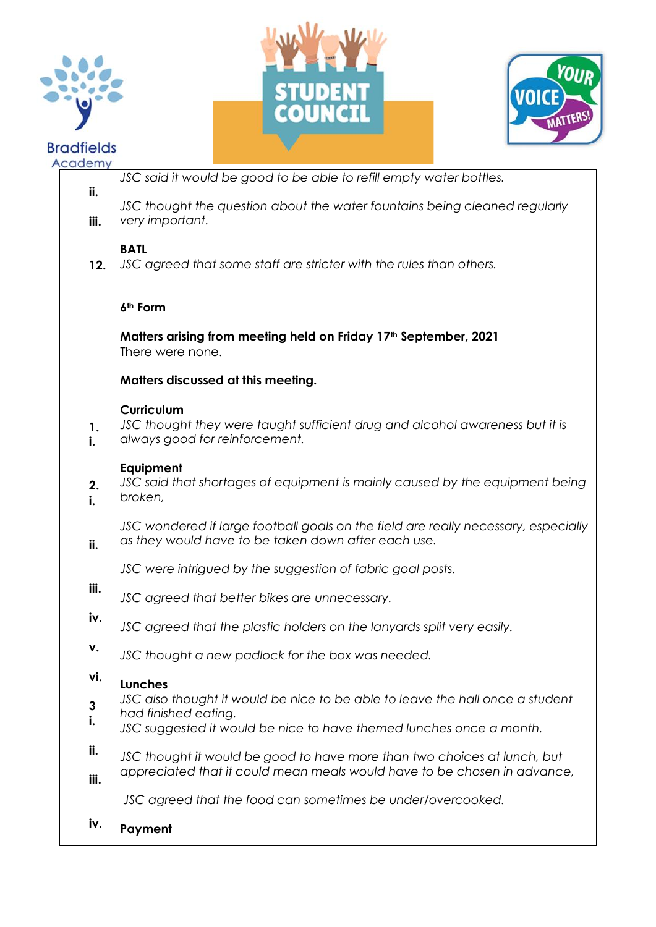







| cademy                                                                                           |                                                                                                                                                                              |  |  |  |  |  |  |
|--------------------------------------------------------------------------------------------------|------------------------------------------------------------------------------------------------------------------------------------------------------------------------------|--|--|--|--|--|--|
| ii.                                                                                              | JSC said it would be good to be able to refill empty water bottles.                                                                                                          |  |  |  |  |  |  |
| iii.                                                                                             | JSC thought the question about the water fountains being cleaned regularly<br>very important.                                                                                |  |  |  |  |  |  |
| 12.                                                                                              | <b>BATL</b><br>JSC agreed that some staff are stricter with the rules than others.                                                                                           |  |  |  |  |  |  |
|                                                                                                  | 6 <sup>th</sup> Form                                                                                                                                                         |  |  |  |  |  |  |
| Matters arising from meeting held on Friday 17 <sup>th</sup> September, 2021<br>There were none. |                                                                                                                                                                              |  |  |  |  |  |  |
|                                                                                                  | Matters discussed at this meeting.                                                                                                                                           |  |  |  |  |  |  |
| 1.<br>i.                                                                                         | <b>Curriculum</b><br>JSC thought they were taught sufficient drug and alcohol awareness but it is<br>always good for reinforcement.                                          |  |  |  |  |  |  |
| 2.<br>i.                                                                                         | Equipment<br>JSC said that shortages of equipment is mainly caused by the equipment being<br>broken,                                                                         |  |  |  |  |  |  |
| ii.                                                                                              | JSC wondered if large football goals on the field are really necessary, especially<br>as they would have to be taken down after each use.                                    |  |  |  |  |  |  |
|                                                                                                  | JSC were intrigued by the suggestion of fabric goal posts.                                                                                                                   |  |  |  |  |  |  |
| iii.                                                                                             | JSC agreed that better bikes are unnecessary.                                                                                                                                |  |  |  |  |  |  |
| iv.                                                                                              | JSC agreed that the plastic holders on the lanyards split very easily.                                                                                                       |  |  |  |  |  |  |
| ۷.                                                                                               | JSC thought a new padlock for the box was needed.                                                                                                                            |  |  |  |  |  |  |
| vi.                                                                                              | <b>Lunches</b>                                                                                                                                                               |  |  |  |  |  |  |
| 3<br>i.                                                                                          | JSC also thought it would be nice to be able to leave the hall once a student<br>had finished eating.<br>JSC suggested it would be nice to have themed lunches once a month. |  |  |  |  |  |  |
| ii.<br>iii.                                                                                      | JSC thought it would be good to have more than two choices at lunch, but<br>appreciated that it could mean meals would have to be chosen in advance,                         |  |  |  |  |  |  |
|                                                                                                  | JSC agreed that the food can sometimes be under/overcooked.                                                                                                                  |  |  |  |  |  |  |
| iv.                                                                                              | Payment                                                                                                                                                                      |  |  |  |  |  |  |